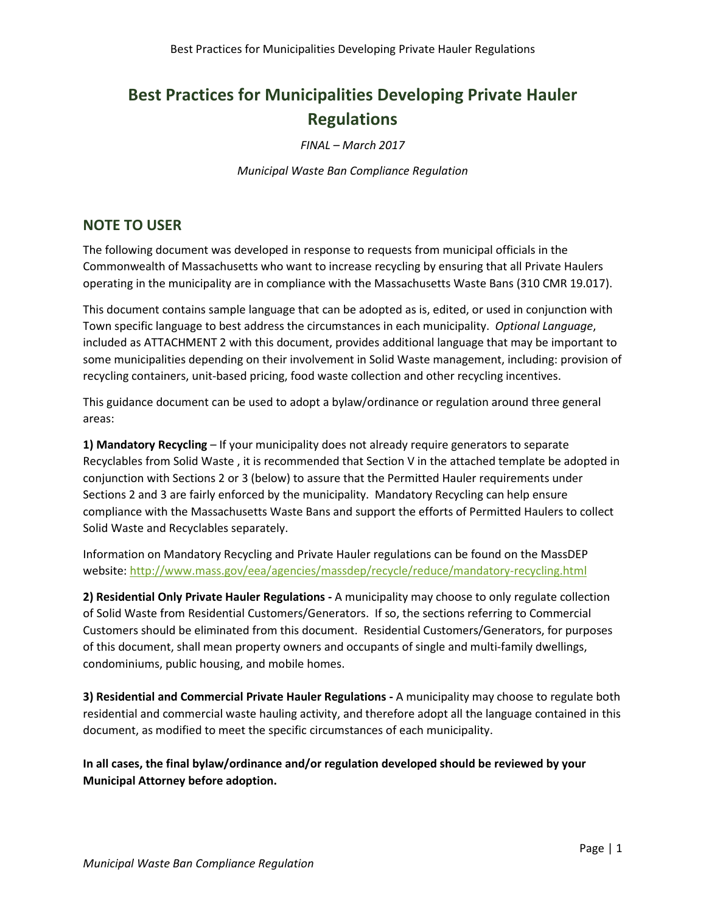# **Best Practices for Municipalities Developing Private Hauler Regulations**

*FINAL – March 2017* 

*Municipal Waste Ban Compliance Regulation* 

#### **NOTE TO USER**

The following document was developed in response to requests from municipal officials in the Commonwealth of Massachusetts who want to increase recycling by ensuring that all Private Haulers operating in the municipality are in compliance with the Massachusetts Waste Bans (310 CMR 19.017).

This document contains sample language that can be adopted as is, edited, or used in conjunction with Town specific language to best address the circumstances in each municipality. *Optional Language*, included as ATTACHMENT 2 with this document, provides additional language that may be important to some municipalities depending on their involvement in Solid Waste management, including: provision of recycling containers, unit-based pricing, food waste collection and other recycling incentives.

This guidance document can be used to adopt a bylaw/ordinance or regulation around three general areas:

**1) Mandatory Recycling** – If your municipality does not already require generators to separate Recyclables from Solid Waste , it is recommended that Section V in the attached template be adopted in conjunction with Sections 2 or 3 (below) to assure that the Permitted Hauler requirements under Sections 2 and 3 are fairly enforced by the municipality. Mandatory Recycling can help ensure compliance with the Massachusetts Waste Bans and support the efforts of Permitted Haulers to collect Solid Waste and Recyclables separately.

Information on Mandatory Recycling and Private Hauler regulations can be found on the MassDEP website: http://www.mass.gov/eea/agencies/massdep/recycle/reduce/mandatory-recycling.html

**2) Residential Only Private Hauler Regulations -** A municipality may choose to only regulate collection of Solid Waste from Residential Customers/Generators. If so, the sections referring to Commercial Customers should be eliminated from this document. Residential Customers/Generators, for purposes of this document, shall mean property owners and occupants of single and multi-family dwellings, condominiums, public housing, and mobile homes.

**3) Residential and Commercial Private Hauler Regulations -** A municipality may choose to regulate both residential and commercial waste hauling activity, and therefore adopt all the language contained in this document, as modified to meet the specific circumstances of each municipality.

**In all cases, the final bylaw/ordinance and/or regulation developed should be reviewed by your Municipal Attorney before adoption.**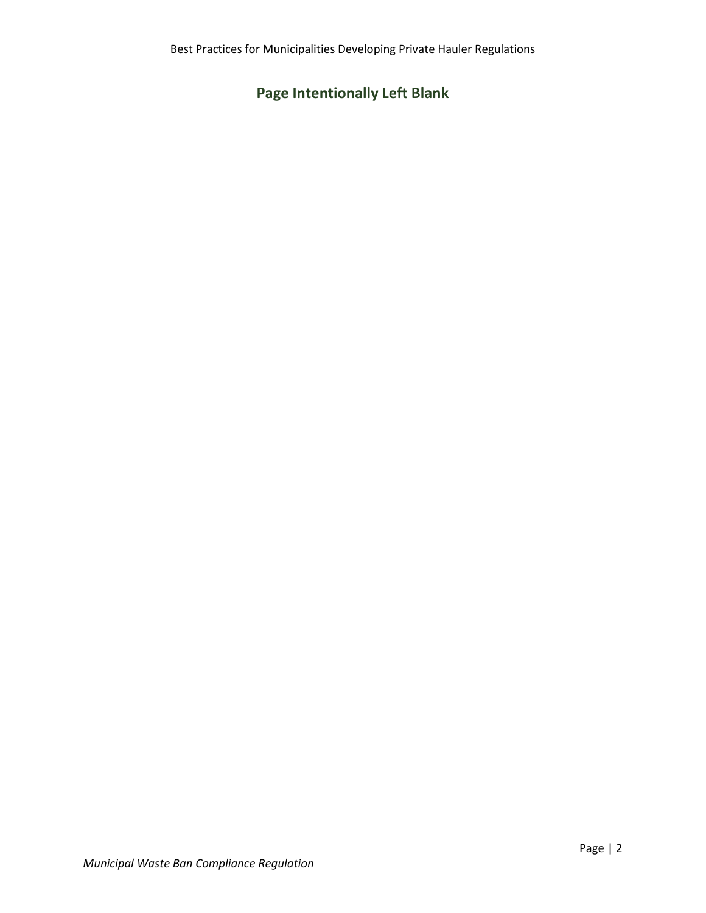# **Page Intentionally Left Blank**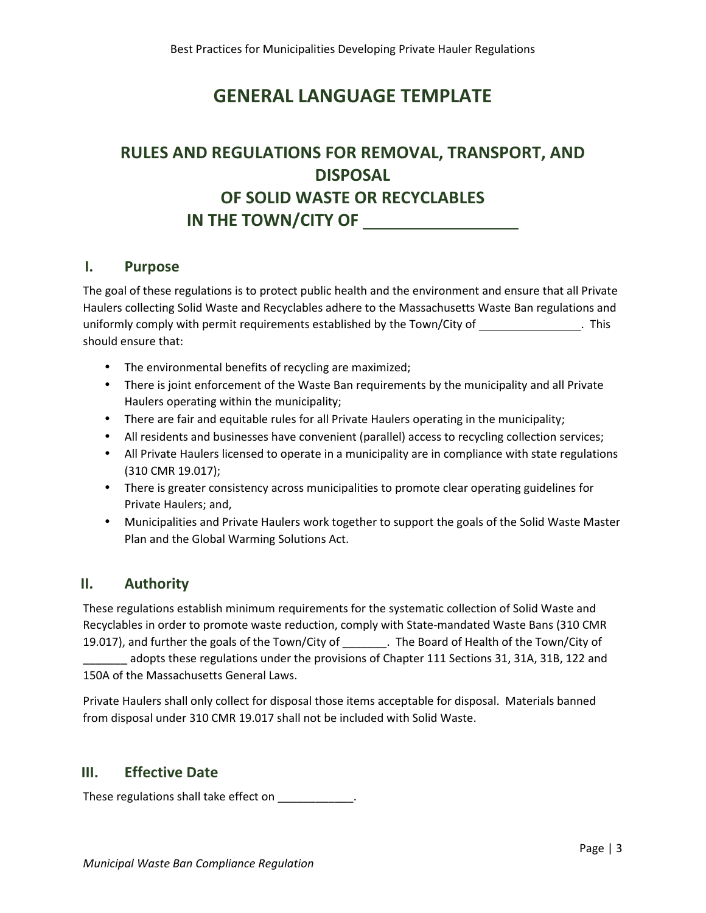# **GENERAL LANGUAGE TEMPLATE**

# **RULES AND REGULATIONS FOR REMOVAL, TRANSPORT, AND DISPOSAL OF SOLID WASTE OR RECYCLABLES IN THE TOWN/CITY OF**

#### **I. Purpose**

The goal of these regulations is to protect public health and the environment and ensure that all Private Haulers collecting Solid Waste and Recyclables adhere to the Massachusetts Waste Ban regulations and uniformly comply with permit requirements established by the Town/City of . This should ensure that:

- The environmental benefits of recycling are maximized;
- There is joint enforcement of the Waste Ban requirements by the municipality and all Private Haulers operating within the municipality;
- There are fair and equitable rules for all Private Haulers operating in the municipality;
- All residents and businesses have convenient (parallel) access to recycling collection services;
- All Private Haulers licensed to operate in a municipality are in compliance with state regulations (310 CMR 19.017);
- There is greater consistency across municipalities to promote clear operating guidelines for Private Haulers; and,
- Municipalities and Private Haulers work together to support the goals of the Solid Waste Master Plan and the Global Warming Solutions Act.

#### **II. Authority**

These regulations establish minimum requirements for the systematic collection of Solid Waste and Recyclables in order to promote waste reduction, comply with State-mandated Waste Bans (310 CMR 19.017), and further the goals of the Town/City of \_\_\_\_\_\_\_. The Board of Health of the Town/City of adopts these regulations under the provisions of Chapter 111 Sections 31, 31A, 31B, 122 and 150A of the Massachusetts General Laws.

Private Haulers shall only collect for disposal those items acceptable for disposal. Materials banned from disposal under 310 CMR 19.017 shall not be included with Solid Waste.

#### **III. Effective Date**

These regulations shall take effect on \_\_\_\_\_\_\_\_\_\_\_\_.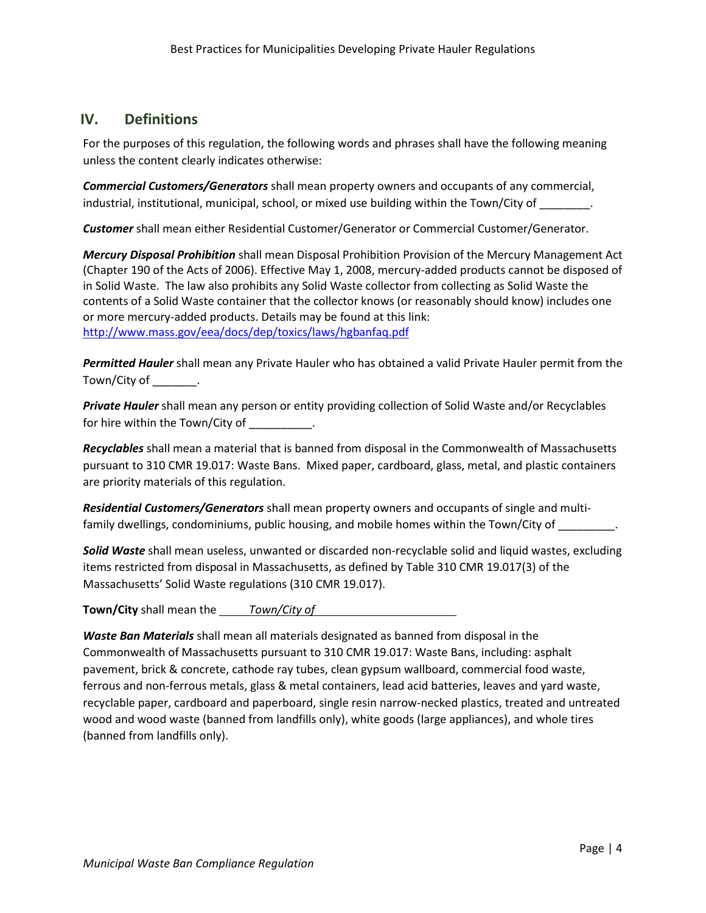### **IV. Definitions**

For the purposes of this regulation, the following words and phrases shall have the following meaning unless the content clearly indicates otherwise:

*Commercial Customers/Generators* shall mean property owners and occupants of any commercial, industrial, institutional, municipal, school, or mixed use building within the Town/City of \_\_\_\_\_\_\_\_.

*Customer* shall mean either Residential Customer/Generator or Commercial Customer/Generator.

*Mercury Disposal Prohibition* shall mean Disposal Prohibition Provision of the Mercury Management Act (Chapter 190 of the Acts of 2006). Effective May 1, 2008, mercury-added products cannot be disposed of in Solid Waste. The law also prohibits any Solid Waste collector from collecting as Solid Waste the contents of a Solid Waste container that the collector knows (or reasonably should know) includes one or more mercury-added products. Details may be found at this link: http://www.mass.gov/eea/docs/dep/toxics/laws/hgbanfaq.pdf

*Permitted Hauler* shall mean any Private Hauler who has obtained a valid Private Hauler permit from the Town/City of \_\_\_\_\_\_\_.

*Private Hauler* shall mean any person or entity providing collection of Solid Waste and/or Recyclables for hire within the Town/City of \_\_\_\_\_\_\_\_\_.

*Recyclables* shall mean a material that is banned from disposal in the Commonwealth of Massachusetts pursuant to 310 CMR 19.017: Waste Bans. Mixed paper, cardboard, glass, metal, and plastic containers are priority materials of this regulation.

*Residential Customers/Generators* shall mean property owners and occupants of single and multifamily dwellings, condominiums, public housing, and mobile homes within the Town/City of \_\_\_\_\_\_\_\_\_\_\_

*Solid Waste* shall mean useless, unwanted or discarded non-recyclable solid and liquid wastes, excluding items restricted from disposal in Massachusetts, as defined by Table 310 CMR 19.017(3) of the Massachusetts' Solid Waste regulations (310 CMR 19.017).

**Town/City** shall mean the *Town/City of*

*Waste Ban Materials* shall mean all materials designated as banned from disposal in the Commonwealth of Massachusetts pursuant to 310 CMR 19.017: Waste Bans, including: asphalt pavement, brick & concrete, cathode ray tubes, clean gypsum wallboard, commercial food waste, ferrous and non-ferrous metals, glass & metal containers, lead acid batteries, leaves and yard waste, recyclable paper, cardboard and paperboard, single resin narrow-necked plastics, treated and untreated wood and wood waste (banned from landfills only), white goods (large appliances), and whole tires (banned from landfills only).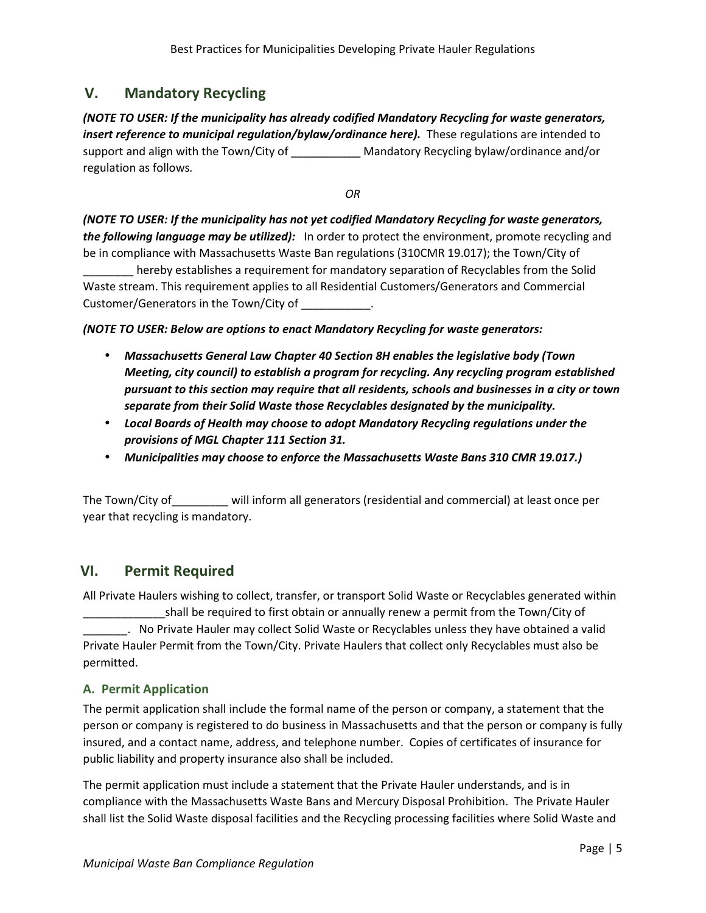## **V. Mandatory Recycling**

*(NOTE TO USER: If the municipality has already codified Mandatory Recycling for waste generators, insert reference to municipal regulation/bylaw/ordinance here).* These regulations are intended to support and align with the Town/City of \_\_\_\_\_\_\_\_\_\_\_\_ Mandatory Recycling bylaw/ordinance and/or regulation as follows*.* 

*OR* 

*(NOTE TO USER: If the municipality has not yet codified Mandatory Recycling for waste generators, the following language may be utilized):* In order to protect the environment, promote recycling and be in compliance with Massachusetts Waste Ban regulations (310CMR 19.017); the Town/City of

hereby establishes a requirement for mandatory separation of Recyclables from the Solid Waste stream. This requirement applies to all Residential Customers/Generators and Commercial Customer/Generators in the Town/City of \_

#### *(NOTE TO USER: Below are options to enact Mandatory Recycling for waste generators:*

- *Massachusetts General Law Chapter 40 Section 8H enables the legislative body (Town Meeting, city council) to establish a program for recycling. Any recycling program established pursuant to this section may require that all residents, schools and businesses in a city or town separate from their Solid Waste those Recyclables designated by the municipality.*
- *Local Boards of Health may choose to adopt Mandatory Recycling regulations under the provisions of MGL Chapter 111 Section 31.*
- *Municipalities may choose to enforce the Massachusetts Waste Bans 310 CMR 19.017.)*

The Town/City of\_\_\_\_\_\_\_\_\_ will inform all generators (residential and commercial) at least once per year that recycling is mandatory.

## **VI. Permit Required**

All Private Haulers wishing to collect, transfer, or transport Solid Waste or Recyclables generated within shall be required to first obtain or annually renew a permit from the Town/City of \_\_\_\_\_\_\_. No Private Hauler may collect Solid Waste or Recyclables unless they have obtained a valid Private Hauler Permit from the Town/City. Private Haulers that collect only Recyclables must also be permitted.

#### **A. Permit Application**

The permit application shall include the formal name of the person or company, a statement that the person or company is registered to do business in Massachusetts and that the person or company is fully insured, and a contact name, address, and telephone number. Copies of certificates of insurance for public liability and property insurance also shall be included.

The permit application must include a statement that the Private Hauler understands, and is in compliance with the Massachusetts Waste Bans and Mercury Disposal Prohibition. The Private Hauler shall list the Solid Waste disposal facilities and the Recycling processing facilities where Solid Waste and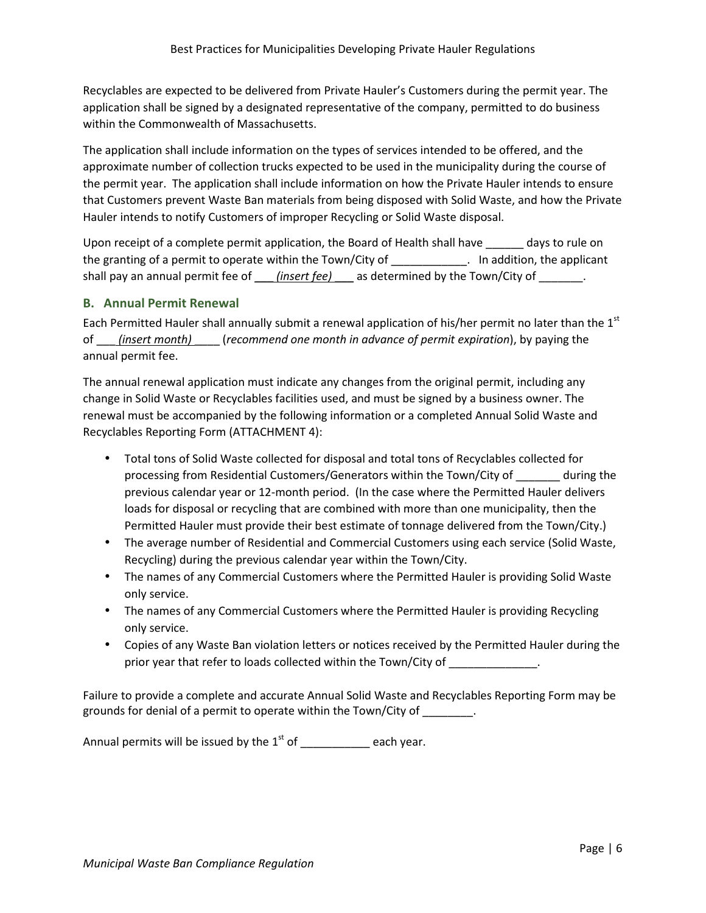Recyclables are expected to be delivered from Private Hauler's Customers during the permit year. The application shall be signed by a designated representative of the company, permitted to do business within the Commonwealth of Massachusetts.

The application shall include information on the types of services intended to be offered, and the approximate number of collection trucks expected to be used in the municipality during the course of the permit year. The application shall include information on how the Private Hauler intends to ensure that Customers prevent Waste Ban materials from being disposed with Solid Waste, and how the Private Hauler intends to notify Customers of improper Recycling or Solid Waste disposal.

Upon receipt of a complete permit application, the Board of Health shall have \_\_\_\_\_\_ days to rule on the granting of a permit to operate within the Town/City of \_\_\_\_\_\_\_\_\_\_\_\_. In addition, the applicant shall pay an annual permit fee of *(insert fee)* as determined by the Town/City of  $\blacksquare$ .

#### **B. Annual Permit Renewal**

Each Permitted Hauler shall annually submit a renewal application of his/her permit no later than the 1<sup>st</sup> of \_\_\_ *(insert month)* \_\_\_\_ (*recommend one month in advance of permit expiration*), by paying the annual permit fee.

The annual renewal application must indicate any changes from the original permit, including any change in Solid Waste or Recyclables facilities used, and must be signed by a business owner. The renewal must be accompanied by the following information or a completed Annual Solid Waste and Recyclables Reporting Form (ATTACHMENT 4):

- Total tons of Solid Waste collected for disposal and total tons of Recyclables collected for processing from Residential Customers/Generators within the Town/City of \_\_\_\_\_\_\_ during the previous calendar year or 12-month period. (In the case where the Permitted Hauler delivers loads for disposal or recycling that are combined with more than one municipality, then the Permitted Hauler must provide their best estimate of tonnage delivered from the Town/City.)
- The average number of Residential and Commercial Customers using each service (Solid Waste, Recycling) during the previous calendar year within the Town/City.
- The names of any Commercial Customers where the Permitted Hauler is providing Solid Waste only service.
- The names of any Commercial Customers where the Permitted Hauler is providing Recycling only service.
- Copies of any Waste Ban violation letters or notices received by the Permitted Hauler during the prior year that refer to loads collected within the Town/City of  $\qquad \qquad$ .

Failure to provide a complete and accurate Annual Solid Waste and Recyclables Reporting Form may be grounds for denial of a permit to operate within the Town/City of \_\_\_\_\_\_\_\_\_.

Annual permits will be issued by the  $1<sup>st</sup>$  of  $\frac{1}{\sqrt{1-\frac{1}{n}}\sqrt{1-\frac{1}{n}}}$  each year.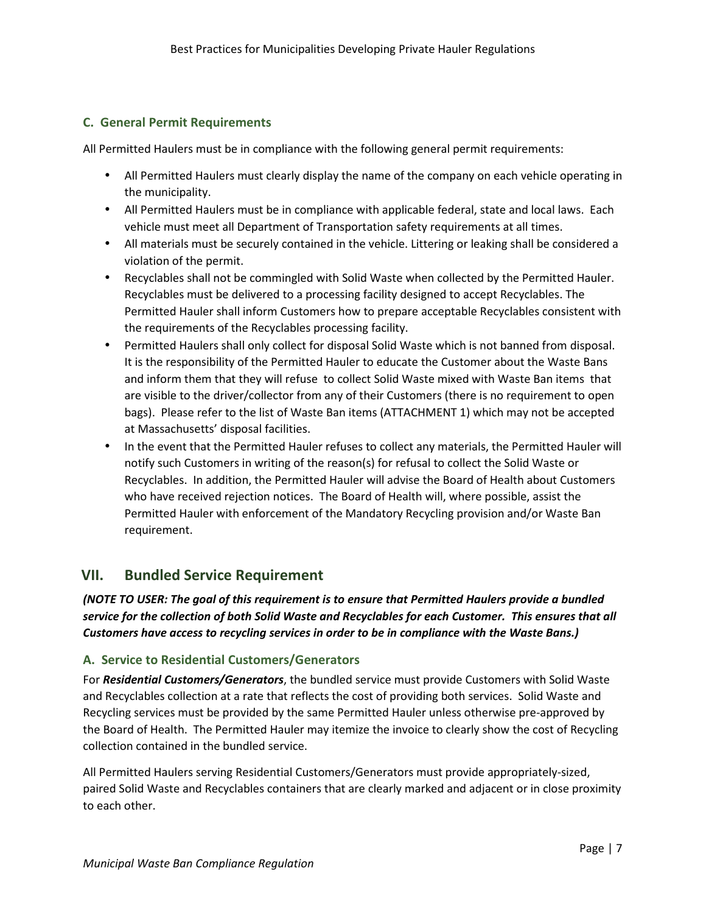#### **C. General Permit Requirements**

All Permitted Haulers must be in compliance with the following general permit requirements:

- All Permitted Haulers must clearly display the name of the company on each vehicle operating in the municipality.
- All Permitted Haulers must be in compliance with applicable federal, state and local laws. Each vehicle must meet all Department of Transportation safety requirements at all times.
- All materials must be securely contained in the vehicle. Littering or leaking shall be considered a violation of the permit.
- Recyclables shall not be commingled with Solid Waste when collected by the Permitted Hauler. Recyclables must be delivered to a processing facility designed to accept Recyclables. The Permitted Hauler shall inform Customers how to prepare acceptable Recyclables consistent with the requirements of the Recyclables processing facility.
- Permitted Haulers shall only collect for disposal Solid Waste which is not banned from disposal. It is the responsibility of the Permitted Hauler to educate the Customer about the Waste Bans and inform them that they will refuse to collect Solid Waste mixed with Waste Ban items that are visible to the driver/collector from any of their Customers (there is no requirement to open bags). Please refer to the list of Waste Ban items (ATTACHMENT 1) which may not be accepted at Massachusetts' disposal facilities.
- In the event that the Permitted Hauler refuses to collect any materials, the Permitted Hauler will notify such Customers in writing of the reason(s) for refusal to collect the Solid Waste or Recyclables. In addition, the Permitted Hauler will advise the Board of Health about Customers who have received rejection notices. The Board of Health will, where possible, assist the Permitted Hauler with enforcement of the Mandatory Recycling provision and/or Waste Ban requirement.

## **VII. Bundled Service Requirement**

*(NOTE TO USER: The goal of this requirement is to ensure that Permitted Haulers provide a bundled service for the collection of both Solid Waste and Recyclables for each Customer. This ensures that all Customers have access to recycling services in order to be in compliance with the Waste Bans.)* 

#### **A. Service to Residential Customers/Generators**

For *Residential Customers/Generators*, the bundled service must provide Customers with Solid Waste and Recyclables collection at a rate that reflects the cost of providing both services. Solid Waste and Recycling services must be provided by the same Permitted Hauler unless otherwise pre-approved by the Board of Health. The Permitted Hauler may itemize the invoice to clearly show the cost of Recycling collection contained in the bundled service.

All Permitted Haulers serving Residential Customers/Generators must provide appropriately-sized, paired Solid Waste and Recyclables containers that are clearly marked and adjacent or in close proximity to each other.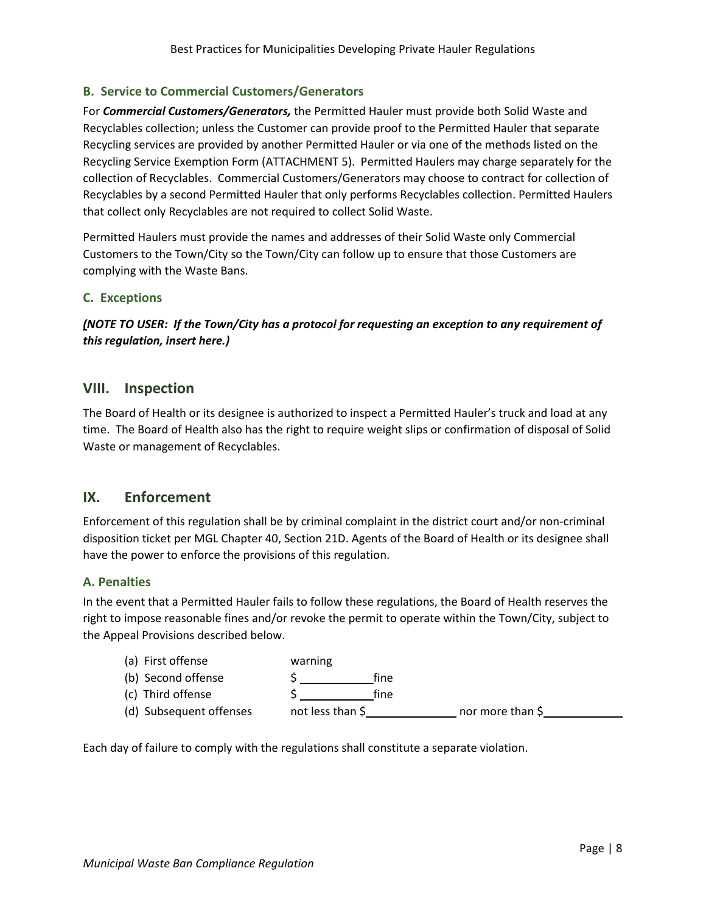#### **B. Service to Commercial Customers/Generators**

For *Commercial Customers/Generators,* the Permitted Hauler must provide both Solid Waste and Recyclables collection; unless the Customer can provide proof to the Permitted Hauler that separate Recycling services are provided by another Permitted Hauler or via one of the methods listed on the Recycling Service Exemption Form (ATTACHMENT 5). Permitted Haulers may charge separately for the collection of Recyclables. Commercial Customers/Generators may choose to contract for collection of Recyclables by a second Permitted Hauler that only performs Recyclables collection. Permitted Haulers that collect only Recyclables are not required to collect Solid Waste.

Permitted Haulers must provide the names and addresses of their Solid Waste only Commercial Customers to the Town/City so the Town/City can follow up to ensure that those Customers are complying with the Waste Bans.

#### **C. Exceptions**

#### *(NOTE TO USER: If the Town/City has a protocol for requesting an exception to any requirement of this regulation, insert here.)*

#### **VIII. Inspection**

The Board of Health or its designee is authorized to inspect a Permitted Hauler's truck and load at any time. The Board of Health also has the right to require weight slips or confirmation of disposal of Solid Waste or management of Recyclables.

#### **IX. Enforcement**

Enforcement of this regulation shall be by criminal complaint in the district court and/or non-criminal disposition ticket per MGL Chapter 40, Section 21D. Agents of the Board of Health or its designee shall have the power to enforce the provisions of this regulation.

#### **A. Penalties**

In the event that a Permitted Hauler fails to follow these regulations, the Board of Health reserves the right to impose reasonable fines and/or revoke the permit to operate within the Town/City, subject to the Appeal Provisions described below.

| (a) First offense       | warning          |                  |
|-------------------------|------------------|------------------|
| (b) Second offense      | fine             |                  |
| (c) Third offense       | tine             |                  |
| (d) Subsequent offenses | not less than \$ | nor more than \$ |

Each day of failure to comply with the regulations shall constitute a separate violation.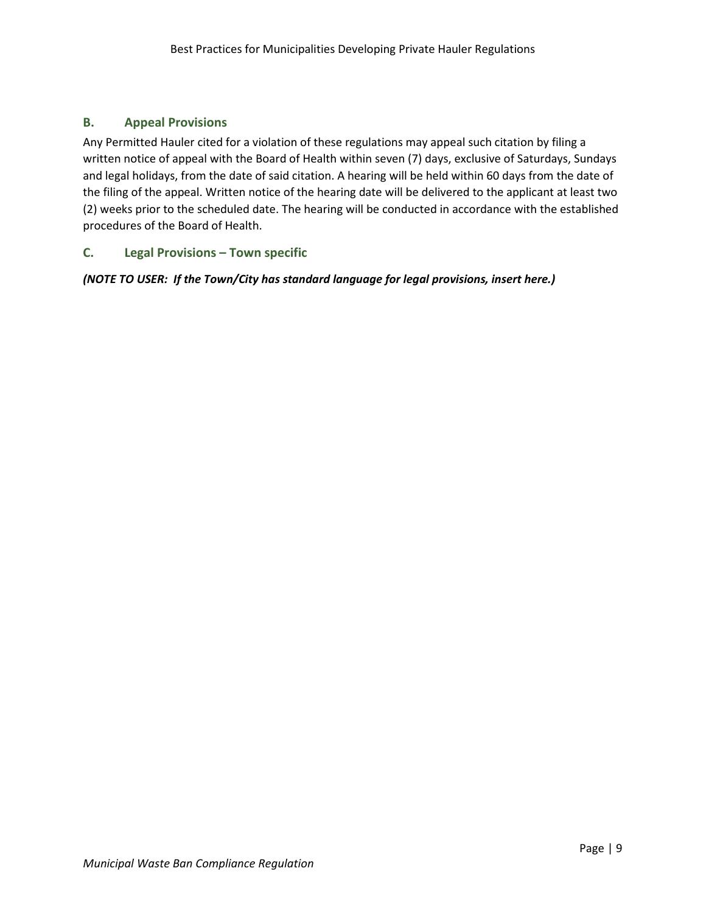#### **B. Appeal Provisions**

Any Permitted Hauler cited for a violation of these regulations may appeal such citation by filing a written notice of appeal with the Board of Health within seven (7) days, exclusive of Saturdays, Sundays and legal holidays, from the date of said citation. A hearing will be held within 60 days from the date of the filing of the appeal. Written notice of the hearing date will be delivered to the applicant at least two (2) weeks prior to the scheduled date. The hearing will be conducted in accordance with the established procedures of the Board of Health.

#### **C. Legal Provisions – Town specific**

*(NOTE TO USER: If the Town/City has standard language for legal provisions, insert here.)*